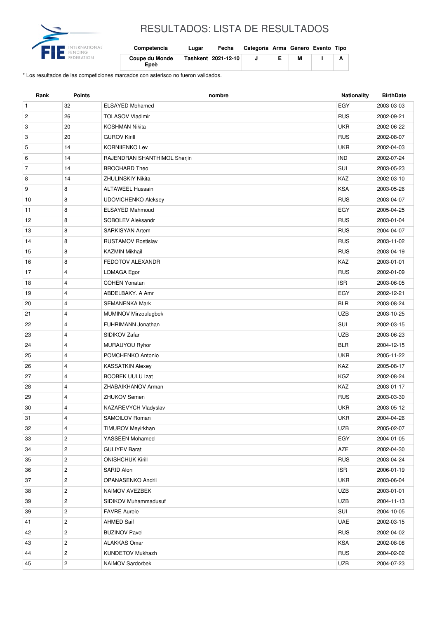

## RESULTADOS: LISTA DE RESULTADOS

| Competencia                   | Lugar | Fecha                 | Categoría Arma Género Evento Tipo |   |  |
|-------------------------------|-------|-----------------------|-----------------------------------|---|--|
| <b>Coupe du Monde</b><br>Epeè |       | Tashkent   2021-12-10 |                                   | м |  |

\* Los resultados de las competiciones marcados con asterisco no fueron validados.

| EGY<br>$\mathbf{1}$<br>32<br><b>ELSAYED Mohamed</b><br>2003-03-03<br>$\overline{c}$<br>26<br><b>TOLASOV Vladimir</b><br><b>RUS</b><br>2002-09-21<br>20<br><b>UKR</b><br>3<br><b>KOSHMAN Nikita</b><br>2002-06-22<br><b>RUS</b><br>3<br>20<br><b>GUROV Kirill</b><br>2002-08-07<br><b>UKR</b><br>5<br>14<br><b>KORNIIENKO Lev</b><br>2002-04-03<br><b>IND</b><br>6<br>14<br>RAJENDRAN SHANTHIMOL Sherjin<br>2002-07-24<br>$\overline{7}$<br>SUI<br>14<br><b>BROCHARD Theo</b><br>2003-05-23<br>14<br>KAZ<br>8<br><b>ZHULINSKIY Nikita</b><br>2002-03-10<br>8<br><b>KSA</b><br>9<br><b>ALTAWEEL Hussain</b><br>2003-05-26<br><b>RUS</b><br>8<br><b>UDOVICHENKO Aleksey</b><br>2003-04-07<br>10<br>8<br><b>ELSAYED Mahmoud</b><br>EGY<br>11<br>2005-04-25<br>8<br>SOBOLEV Aleksandr<br><b>RUS</b><br>12<br>2003-01-04<br>8<br><b>SARKISYAN Artem</b><br><b>RUS</b><br>13<br>2004-04-07<br><b>RUS</b><br>8<br>14<br><b>RUSTAMOV Rostislav</b><br>2003-11-02<br>8<br><b>RUS</b><br>15<br><b>KAZMIN Mikhail</b><br>2003-04-19<br>KAZ<br>8<br>FEDOTOV ALEXANDR<br>2003-01-01<br>16<br>$\overline{4}$<br><b>RUS</b><br>17<br>LOMAGA Egor<br>2002-01-09<br>4<br><b>ISR</b><br>18<br><b>COHEN Yonatan</b><br>2003-06-05<br>EGY<br>19<br>4<br>ABDELBAKY, A Amr<br>2002-12-21<br>20<br>$\overline{4}$<br><b>BLR</b><br>SEMANENKA Mark<br>2003-08-24<br><b>UZB</b><br>4<br><b>MUMINOV Mirzoulugbek</b><br>2003-10-25<br>21<br>FUHRIMANN Jonathan<br>SUI<br>22<br>4<br>2002-03-15<br>4<br><b>UZB</b><br>23<br>SIDIKOV Zafar<br>2003-06-23<br><b>BLR</b><br>2004-12-15<br>24<br>4<br>MURAUYOU Ryhor<br>4<br><b>UKR</b><br>25<br>POMCHENKO Antonio<br>2005-11-22<br>KAZ<br>26<br>4<br><b>KASSATKIN Alexey</b><br>2005-08-17<br>27<br><b>BOOBEK UULU Izat</b><br>KGZ<br>4<br>2002-08-24<br>KAZ<br>28<br>4<br>ZHABAIKHANOV Arman<br>2003-01-17<br>29<br>4<br><b>RUS</b><br><b>ZHUKOV Semen</b><br>2003-03-30<br>4<br>NAZAREVYCH Vladyslav<br><b>UKR</b><br>2003-05-12<br>30<br><b>UKR</b><br>31<br>4<br>SAMOILOV Roman<br>2004-04-26<br>UZB<br>32<br>4<br><b>TIMUROV Meyirkhan</b><br>2005-02-07<br>$\overline{c}$<br>YASSEEN Mohamed<br>EGY<br>33<br>2004-01-05<br>$\overline{\mathbf{c}}$<br>AZE<br>34<br><b>GULIYEV Barat</b><br>2002-04-30<br>$\overline{c}$<br><b>ONISHCHUK Kirill</b><br><b>RUS</b><br>35<br>2003-04-24<br><b>ISR</b><br>$\overline{c}$<br>36<br>SARID Alon<br>2006-01-19<br>$\overline{c}$<br><b>UKR</b><br>37<br>OPANASENKO Andrii<br>2003-06-04<br>$\overline{c}$<br>NAIMOV AVEZBEK<br>UZB<br>38<br>2003-01-01<br>$\overline{c}$<br><b>UZB</b><br>39<br>SIDIKOV Muhammadusuf<br>2004-11-13<br>$\overline{c}$<br>SUI<br>2004-10-05<br>39<br><b>FAVRE Aurele</b><br>$\overline{c}$<br>UAE<br><b>AHMED Saif</b><br>41<br>2002-03-15<br>42<br>$\overline{c}$<br><b>RUS</b><br><b>BUZINOV Pavel</b><br>2002-04-02<br>$\overline{c}$<br>KSA<br><b>ALAKKAS Omar</b><br>2002-08-08<br>43<br>44<br>$\overline{c}$<br>KUNDETOV Mukhazh<br><b>RUS</b><br>2004-02-02 | Rank | <b>Points</b> | nombre           | Nationality | <b>BirthDate</b> |
|-----------------------------------------------------------------------------------------------------------------------------------------------------------------------------------------------------------------------------------------------------------------------------------------------------------------------------------------------------------------------------------------------------------------------------------------------------------------------------------------------------------------------------------------------------------------------------------------------------------------------------------------------------------------------------------------------------------------------------------------------------------------------------------------------------------------------------------------------------------------------------------------------------------------------------------------------------------------------------------------------------------------------------------------------------------------------------------------------------------------------------------------------------------------------------------------------------------------------------------------------------------------------------------------------------------------------------------------------------------------------------------------------------------------------------------------------------------------------------------------------------------------------------------------------------------------------------------------------------------------------------------------------------------------------------------------------------------------------------------------------------------------------------------------------------------------------------------------------------------------------------------------------------------------------------------------------------------------------------------------------------------------------------------------------------------------------------------------------------------------------------------------------------------------------------------------------------------------------------------------------------------------------------------------------------------------------------------------------------------------------------------------------------------------------------------------------------------------------------------------------------------------------------------------------------------------------------------------------------------------------------------------------------------------------------------------------------------------------------------------------------------------------------------------------------------------------------------------------------------------------------------------------------------------------------------------------------------------|------|---------------|------------------|-------------|------------------|
|                                                                                                                                                                                                                                                                                                                                                                                                                                                                                                                                                                                                                                                                                                                                                                                                                                                                                                                                                                                                                                                                                                                                                                                                                                                                                                                                                                                                                                                                                                                                                                                                                                                                                                                                                                                                                                                                                                                                                                                                                                                                                                                                                                                                                                                                                                                                                                                                                                                                                                                                                                                                                                                                                                                                                                                                                                                                                                                                                                 |      |               |                  |             |                  |
|                                                                                                                                                                                                                                                                                                                                                                                                                                                                                                                                                                                                                                                                                                                                                                                                                                                                                                                                                                                                                                                                                                                                                                                                                                                                                                                                                                                                                                                                                                                                                                                                                                                                                                                                                                                                                                                                                                                                                                                                                                                                                                                                                                                                                                                                                                                                                                                                                                                                                                                                                                                                                                                                                                                                                                                                                                                                                                                                                                 |      |               |                  |             |                  |
|                                                                                                                                                                                                                                                                                                                                                                                                                                                                                                                                                                                                                                                                                                                                                                                                                                                                                                                                                                                                                                                                                                                                                                                                                                                                                                                                                                                                                                                                                                                                                                                                                                                                                                                                                                                                                                                                                                                                                                                                                                                                                                                                                                                                                                                                                                                                                                                                                                                                                                                                                                                                                                                                                                                                                                                                                                                                                                                                                                 |      |               |                  |             |                  |
|                                                                                                                                                                                                                                                                                                                                                                                                                                                                                                                                                                                                                                                                                                                                                                                                                                                                                                                                                                                                                                                                                                                                                                                                                                                                                                                                                                                                                                                                                                                                                                                                                                                                                                                                                                                                                                                                                                                                                                                                                                                                                                                                                                                                                                                                                                                                                                                                                                                                                                                                                                                                                                                                                                                                                                                                                                                                                                                                                                 |      |               |                  |             |                  |
|                                                                                                                                                                                                                                                                                                                                                                                                                                                                                                                                                                                                                                                                                                                                                                                                                                                                                                                                                                                                                                                                                                                                                                                                                                                                                                                                                                                                                                                                                                                                                                                                                                                                                                                                                                                                                                                                                                                                                                                                                                                                                                                                                                                                                                                                                                                                                                                                                                                                                                                                                                                                                                                                                                                                                                                                                                                                                                                                                                 |      |               |                  |             |                  |
|                                                                                                                                                                                                                                                                                                                                                                                                                                                                                                                                                                                                                                                                                                                                                                                                                                                                                                                                                                                                                                                                                                                                                                                                                                                                                                                                                                                                                                                                                                                                                                                                                                                                                                                                                                                                                                                                                                                                                                                                                                                                                                                                                                                                                                                                                                                                                                                                                                                                                                                                                                                                                                                                                                                                                                                                                                                                                                                                                                 |      |               |                  |             |                  |
|                                                                                                                                                                                                                                                                                                                                                                                                                                                                                                                                                                                                                                                                                                                                                                                                                                                                                                                                                                                                                                                                                                                                                                                                                                                                                                                                                                                                                                                                                                                                                                                                                                                                                                                                                                                                                                                                                                                                                                                                                                                                                                                                                                                                                                                                                                                                                                                                                                                                                                                                                                                                                                                                                                                                                                                                                                                                                                                                                                 |      |               |                  |             |                  |
|                                                                                                                                                                                                                                                                                                                                                                                                                                                                                                                                                                                                                                                                                                                                                                                                                                                                                                                                                                                                                                                                                                                                                                                                                                                                                                                                                                                                                                                                                                                                                                                                                                                                                                                                                                                                                                                                                                                                                                                                                                                                                                                                                                                                                                                                                                                                                                                                                                                                                                                                                                                                                                                                                                                                                                                                                                                                                                                                                                 |      |               |                  |             |                  |
|                                                                                                                                                                                                                                                                                                                                                                                                                                                                                                                                                                                                                                                                                                                                                                                                                                                                                                                                                                                                                                                                                                                                                                                                                                                                                                                                                                                                                                                                                                                                                                                                                                                                                                                                                                                                                                                                                                                                                                                                                                                                                                                                                                                                                                                                                                                                                                                                                                                                                                                                                                                                                                                                                                                                                                                                                                                                                                                                                                 |      |               |                  |             |                  |
|                                                                                                                                                                                                                                                                                                                                                                                                                                                                                                                                                                                                                                                                                                                                                                                                                                                                                                                                                                                                                                                                                                                                                                                                                                                                                                                                                                                                                                                                                                                                                                                                                                                                                                                                                                                                                                                                                                                                                                                                                                                                                                                                                                                                                                                                                                                                                                                                                                                                                                                                                                                                                                                                                                                                                                                                                                                                                                                                                                 |      |               |                  |             |                  |
|                                                                                                                                                                                                                                                                                                                                                                                                                                                                                                                                                                                                                                                                                                                                                                                                                                                                                                                                                                                                                                                                                                                                                                                                                                                                                                                                                                                                                                                                                                                                                                                                                                                                                                                                                                                                                                                                                                                                                                                                                                                                                                                                                                                                                                                                                                                                                                                                                                                                                                                                                                                                                                                                                                                                                                                                                                                                                                                                                                 |      |               |                  |             |                  |
|                                                                                                                                                                                                                                                                                                                                                                                                                                                                                                                                                                                                                                                                                                                                                                                                                                                                                                                                                                                                                                                                                                                                                                                                                                                                                                                                                                                                                                                                                                                                                                                                                                                                                                                                                                                                                                                                                                                                                                                                                                                                                                                                                                                                                                                                                                                                                                                                                                                                                                                                                                                                                                                                                                                                                                                                                                                                                                                                                                 |      |               |                  |             |                  |
|                                                                                                                                                                                                                                                                                                                                                                                                                                                                                                                                                                                                                                                                                                                                                                                                                                                                                                                                                                                                                                                                                                                                                                                                                                                                                                                                                                                                                                                                                                                                                                                                                                                                                                                                                                                                                                                                                                                                                                                                                                                                                                                                                                                                                                                                                                                                                                                                                                                                                                                                                                                                                                                                                                                                                                                                                                                                                                                                                                 |      |               |                  |             |                  |
|                                                                                                                                                                                                                                                                                                                                                                                                                                                                                                                                                                                                                                                                                                                                                                                                                                                                                                                                                                                                                                                                                                                                                                                                                                                                                                                                                                                                                                                                                                                                                                                                                                                                                                                                                                                                                                                                                                                                                                                                                                                                                                                                                                                                                                                                                                                                                                                                                                                                                                                                                                                                                                                                                                                                                                                                                                                                                                                                                                 |      |               |                  |             |                  |
|                                                                                                                                                                                                                                                                                                                                                                                                                                                                                                                                                                                                                                                                                                                                                                                                                                                                                                                                                                                                                                                                                                                                                                                                                                                                                                                                                                                                                                                                                                                                                                                                                                                                                                                                                                                                                                                                                                                                                                                                                                                                                                                                                                                                                                                                                                                                                                                                                                                                                                                                                                                                                                                                                                                                                                                                                                                                                                                                                                 |      |               |                  |             |                  |
|                                                                                                                                                                                                                                                                                                                                                                                                                                                                                                                                                                                                                                                                                                                                                                                                                                                                                                                                                                                                                                                                                                                                                                                                                                                                                                                                                                                                                                                                                                                                                                                                                                                                                                                                                                                                                                                                                                                                                                                                                                                                                                                                                                                                                                                                                                                                                                                                                                                                                                                                                                                                                                                                                                                                                                                                                                                                                                                                                                 |      |               |                  |             |                  |
|                                                                                                                                                                                                                                                                                                                                                                                                                                                                                                                                                                                                                                                                                                                                                                                                                                                                                                                                                                                                                                                                                                                                                                                                                                                                                                                                                                                                                                                                                                                                                                                                                                                                                                                                                                                                                                                                                                                                                                                                                                                                                                                                                                                                                                                                                                                                                                                                                                                                                                                                                                                                                                                                                                                                                                                                                                                                                                                                                                 |      |               |                  |             |                  |
|                                                                                                                                                                                                                                                                                                                                                                                                                                                                                                                                                                                                                                                                                                                                                                                                                                                                                                                                                                                                                                                                                                                                                                                                                                                                                                                                                                                                                                                                                                                                                                                                                                                                                                                                                                                                                                                                                                                                                                                                                                                                                                                                                                                                                                                                                                                                                                                                                                                                                                                                                                                                                                                                                                                                                                                                                                                                                                                                                                 |      |               |                  |             |                  |
|                                                                                                                                                                                                                                                                                                                                                                                                                                                                                                                                                                                                                                                                                                                                                                                                                                                                                                                                                                                                                                                                                                                                                                                                                                                                                                                                                                                                                                                                                                                                                                                                                                                                                                                                                                                                                                                                                                                                                                                                                                                                                                                                                                                                                                                                                                                                                                                                                                                                                                                                                                                                                                                                                                                                                                                                                                                                                                                                                                 |      |               |                  |             |                  |
|                                                                                                                                                                                                                                                                                                                                                                                                                                                                                                                                                                                                                                                                                                                                                                                                                                                                                                                                                                                                                                                                                                                                                                                                                                                                                                                                                                                                                                                                                                                                                                                                                                                                                                                                                                                                                                                                                                                                                                                                                                                                                                                                                                                                                                                                                                                                                                                                                                                                                                                                                                                                                                                                                                                                                                                                                                                                                                                                                                 |      |               |                  |             |                  |
|                                                                                                                                                                                                                                                                                                                                                                                                                                                                                                                                                                                                                                                                                                                                                                                                                                                                                                                                                                                                                                                                                                                                                                                                                                                                                                                                                                                                                                                                                                                                                                                                                                                                                                                                                                                                                                                                                                                                                                                                                                                                                                                                                                                                                                                                                                                                                                                                                                                                                                                                                                                                                                                                                                                                                                                                                                                                                                                                                                 |      |               |                  |             |                  |
|                                                                                                                                                                                                                                                                                                                                                                                                                                                                                                                                                                                                                                                                                                                                                                                                                                                                                                                                                                                                                                                                                                                                                                                                                                                                                                                                                                                                                                                                                                                                                                                                                                                                                                                                                                                                                                                                                                                                                                                                                                                                                                                                                                                                                                                                                                                                                                                                                                                                                                                                                                                                                                                                                                                                                                                                                                                                                                                                                                 |      |               |                  |             |                  |
|                                                                                                                                                                                                                                                                                                                                                                                                                                                                                                                                                                                                                                                                                                                                                                                                                                                                                                                                                                                                                                                                                                                                                                                                                                                                                                                                                                                                                                                                                                                                                                                                                                                                                                                                                                                                                                                                                                                                                                                                                                                                                                                                                                                                                                                                                                                                                                                                                                                                                                                                                                                                                                                                                                                                                                                                                                                                                                                                                                 |      |               |                  |             |                  |
|                                                                                                                                                                                                                                                                                                                                                                                                                                                                                                                                                                                                                                                                                                                                                                                                                                                                                                                                                                                                                                                                                                                                                                                                                                                                                                                                                                                                                                                                                                                                                                                                                                                                                                                                                                                                                                                                                                                                                                                                                                                                                                                                                                                                                                                                                                                                                                                                                                                                                                                                                                                                                                                                                                                                                                                                                                                                                                                                                                 |      |               |                  |             |                  |
|                                                                                                                                                                                                                                                                                                                                                                                                                                                                                                                                                                                                                                                                                                                                                                                                                                                                                                                                                                                                                                                                                                                                                                                                                                                                                                                                                                                                                                                                                                                                                                                                                                                                                                                                                                                                                                                                                                                                                                                                                                                                                                                                                                                                                                                                                                                                                                                                                                                                                                                                                                                                                                                                                                                                                                                                                                                                                                                                                                 |      |               |                  |             |                  |
|                                                                                                                                                                                                                                                                                                                                                                                                                                                                                                                                                                                                                                                                                                                                                                                                                                                                                                                                                                                                                                                                                                                                                                                                                                                                                                                                                                                                                                                                                                                                                                                                                                                                                                                                                                                                                                                                                                                                                                                                                                                                                                                                                                                                                                                                                                                                                                                                                                                                                                                                                                                                                                                                                                                                                                                                                                                                                                                                                                 |      |               |                  |             |                  |
|                                                                                                                                                                                                                                                                                                                                                                                                                                                                                                                                                                                                                                                                                                                                                                                                                                                                                                                                                                                                                                                                                                                                                                                                                                                                                                                                                                                                                                                                                                                                                                                                                                                                                                                                                                                                                                                                                                                                                                                                                                                                                                                                                                                                                                                                                                                                                                                                                                                                                                                                                                                                                                                                                                                                                                                                                                                                                                                                                                 |      |               |                  |             |                  |
|                                                                                                                                                                                                                                                                                                                                                                                                                                                                                                                                                                                                                                                                                                                                                                                                                                                                                                                                                                                                                                                                                                                                                                                                                                                                                                                                                                                                                                                                                                                                                                                                                                                                                                                                                                                                                                                                                                                                                                                                                                                                                                                                                                                                                                                                                                                                                                                                                                                                                                                                                                                                                                                                                                                                                                                                                                                                                                                                                                 |      |               |                  |             |                  |
|                                                                                                                                                                                                                                                                                                                                                                                                                                                                                                                                                                                                                                                                                                                                                                                                                                                                                                                                                                                                                                                                                                                                                                                                                                                                                                                                                                                                                                                                                                                                                                                                                                                                                                                                                                                                                                                                                                                                                                                                                                                                                                                                                                                                                                                                                                                                                                                                                                                                                                                                                                                                                                                                                                                                                                                                                                                                                                                                                                 |      |               |                  |             |                  |
|                                                                                                                                                                                                                                                                                                                                                                                                                                                                                                                                                                                                                                                                                                                                                                                                                                                                                                                                                                                                                                                                                                                                                                                                                                                                                                                                                                                                                                                                                                                                                                                                                                                                                                                                                                                                                                                                                                                                                                                                                                                                                                                                                                                                                                                                                                                                                                                                                                                                                                                                                                                                                                                                                                                                                                                                                                                                                                                                                                 |      |               |                  |             |                  |
|                                                                                                                                                                                                                                                                                                                                                                                                                                                                                                                                                                                                                                                                                                                                                                                                                                                                                                                                                                                                                                                                                                                                                                                                                                                                                                                                                                                                                                                                                                                                                                                                                                                                                                                                                                                                                                                                                                                                                                                                                                                                                                                                                                                                                                                                                                                                                                                                                                                                                                                                                                                                                                                                                                                                                                                                                                                                                                                                                                 |      |               |                  |             |                  |
|                                                                                                                                                                                                                                                                                                                                                                                                                                                                                                                                                                                                                                                                                                                                                                                                                                                                                                                                                                                                                                                                                                                                                                                                                                                                                                                                                                                                                                                                                                                                                                                                                                                                                                                                                                                                                                                                                                                                                                                                                                                                                                                                                                                                                                                                                                                                                                                                                                                                                                                                                                                                                                                                                                                                                                                                                                                                                                                                                                 |      |               |                  |             |                  |
|                                                                                                                                                                                                                                                                                                                                                                                                                                                                                                                                                                                                                                                                                                                                                                                                                                                                                                                                                                                                                                                                                                                                                                                                                                                                                                                                                                                                                                                                                                                                                                                                                                                                                                                                                                                                                                                                                                                                                                                                                                                                                                                                                                                                                                                                                                                                                                                                                                                                                                                                                                                                                                                                                                                                                                                                                                                                                                                                                                 |      |               |                  |             |                  |
|                                                                                                                                                                                                                                                                                                                                                                                                                                                                                                                                                                                                                                                                                                                                                                                                                                                                                                                                                                                                                                                                                                                                                                                                                                                                                                                                                                                                                                                                                                                                                                                                                                                                                                                                                                                                                                                                                                                                                                                                                                                                                                                                                                                                                                                                                                                                                                                                                                                                                                                                                                                                                                                                                                                                                                                                                                                                                                                                                                 |      |               |                  |             |                  |
|                                                                                                                                                                                                                                                                                                                                                                                                                                                                                                                                                                                                                                                                                                                                                                                                                                                                                                                                                                                                                                                                                                                                                                                                                                                                                                                                                                                                                                                                                                                                                                                                                                                                                                                                                                                                                                                                                                                                                                                                                                                                                                                                                                                                                                                                                                                                                                                                                                                                                                                                                                                                                                                                                                                                                                                                                                                                                                                                                                 |      |               |                  |             |                  |
|                                                                                                                                                                                                                                                                                                                                                                                                                                                                                                                                                                                                                                                                                                                                                                                                                                                                                                                                                                                                                                                                                                                                                                                                                                                                                                                                                                                                                                                                                                                                                                                                                                                                                                                                                                                                                                                                                                                                                                                                                                                                                                                                                                                                                                                                                                                                                                                                                                                                                                                                                                                                                                                                                                                                                                                                                                                                                                                                                                 |      |               |                  |             |                  |
|                                                                                                                                                                                                                                                                                                                                                                                                                                                                                                                                                                                                                                                                                                                                                                                                                                                                                                                                                                                                                                                                                                                                                                                                                                                                                                                                                                                                                                                                                                                                                                                                                                                                                                                                                                                                                                                                                                                                                                                                                                                                                                                                                                                                                                                                                                                                                                                                                                                                                                                                                                                                                                                                                                                                                                                                                                                                                                                                                                 |      |               |                  |             |                  |
|                                                                                                                                                                                                                                                                                                                                                                                                                                                                                                                                                                                                                                                                                                                                                                                                                                                                                                                                                                                                                                                                                                                                                                                                                                                                                                                                                                                                                                                                                                                                                                                                                                                                                                                                                                                                                                                                                                                                                                                                                                                                                                                                                                                                                                                                                                                                                                                                                                                                                                                                                                                                                                                                                                                                                                                                                                                                                                                                                                 |      |               |                  |             |                  |
|                                                                                                                                                                                                                                                                                                                                                                                                                                                                                                                                                                                                                                                                                                                                                                                                                                                                                                                                                                                                                                                                                                                                                                                                                                                                                                                                                                                                                                                                                                                                                                                                                                                                                                                                                                                                                                                                                                                                                                                                                                                                                                                                                                                                                                                                                                                                                                                                                                                                                                                                                                                                                                                                                                                                                                                                                                                                                                                                                                 |      |               |                  |             |                  |
|                                                                                                                                                                                                                                                                                                                                                                                                                                                                                                                                                                                                                                                                                                                                                                                                                                                                                                                                                                                                                                                                                                                                                                                                                                                                                                                                                                                                                                                                                                                                                                                                                                                                                                                                                                                                                                                                                                                                                                                                                                                                                                                                                                                                                                                                                                                                                                                                                                                                                                                                                                                                                                                                                                                                                                                                                                                                                                                                                                 |      |               |                  |             |                  |
|                                                                                                                                                                                                                                                                                                                                                                                                                                                                                                                                                                                                                                                                                                                                                                                                                                                                                                                                                                                                                                                                                                                                                                                                                                                                                                                                                                                                                                                                                                                                                                                                                                                                                                                                                                                                                                                                                                                                                                                                                                                                                                                                                                                                                                                                                                                                                                                                                                                                                                                                                                                                                                                                                                                                                                                                                                                                                                                                                                 |      |               |                  |             |                  |
|                                                                                                                                                                                                                                                                                                                                                                                                                                                                                                                                                                                                                                                                                                                                                                                                                                                                                                                                                                                                                                                                                                                                                                                                                                                                                                                                                                                                                                                                                                                                                                                                                                                                                                                                                                                                                                                                                                                                                                                                                                                                                                                                                                                                                                                                                                                                                                                                                                                                                                                                                                                                                                                                                                                                                                                                                                                                                                                                                                 |      |               |                  |             |                  |
|                                                                                                                                                                                                                                                                                                                                                                                                                                                                                                                                                                                                                                                                                                                                                                                                                                                                                                                                                                                                                                                                                                                                                                                                                                                                                                                                                                                                                                                                                                                                                                                                                                                                                                                                                                                                                                                                                                                                                                                                                                                                                                                                                                                                                                                                                                                                                                                                                                                                                                                                                                                                                                                                                                                                                                                                                                                                                                                                                                 |      |               |                  |             |                  |
|                                                                                                                                                                                                                                                                                                                                                                                                                                                                                                                                                                                                                                                                                                                                                                                                                                                                                                                                                                                                                                                                                                                                                                                                                                                                                                                                                                                                                                                                                                                                                                                                                                                                                                                                                                                                                                                                                                                                                                                                                                                                                                                                                                                                                                                                                                                                                                                                                                                                                                                                                                                                                                                                                                                                                                                                                                                                                                                                                                 |      |               |                  |             |                  |
|                                                                                                                                                                                                                                                                                                                                                                                                                                                                                                                                                                                                                                                                                                                                                                                                                                                                                                                                                                                                                                                                                                                                                                                                                                                                                                                                                                                                                                                                                                                                                                                                                                                                                                                                                                                                                                                                                                                                                                                                                                                                                                                                                                                                                                                                                                                                                                                                                                                                                                                                                                                                                                                                                                                                                                                                                                                                                                                                                                 | 45   | $\mathbf{2}$  | NAIMOV Sardorbek | <b>UZB</b>  | 2004-07-23       |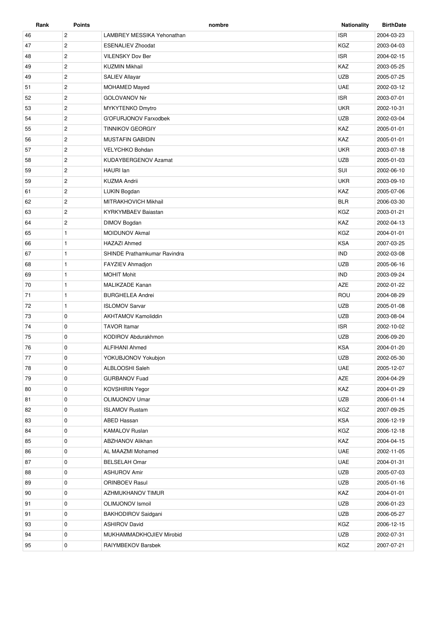| Rank | <b>Points</b>  | nombre                       | <b>Nationality</b> | <b>BirthDate</b> |
|------|----------------|------------------------------|--------------------|------------------|
| 46   | $\mathbf{2}$   | LAMBREY MESSIKA Yehonathan   | <b>ISR</b>         | 2004-03-23       |
| 47   | $\overline{c}$ | <b>ESENALIEV Zhoodat</b>     | KGZ                | 2003-04-03       |
| 48   | $\overline{2}$ | VILENSKY Dov Ber             | <b>ISR</b>         | 2004-02-15       |
| 49   | $\overline{c}$ | <b>KUZMIN Mikhail</b>        | KAZ                | 2003-05-25       |
| 49   | $\overline{c}$ | SALIEV Allayar               | <b>UZB</b>         | 2005-07-25       |
| 51   | $\overline{2}$ | MOHAMED Mayed                | <b>UAE</b>         | 2002-03-12       |
| 52   | $\overline{2}$ | <b>GOLOVANOV Nir</b>         | <b>ISR</b>         | 2003-07-01       |
| 53   | $\overline{2}$ | <b>MYKYTENKO Dmytro</b>      | <b>UKR</b>         | 2002-10-31       |
| 54   | $\overline{2}$ | G'OFURJONOV Farxodbek        | <b>UZB</b>         | 2002-03-04       |
| 55   | $\mathbf{2}$   | <b>TINNIKOV GEORGIY</b>      | KAZ                | 2005-01-01       |
| 56   | $\overline{2}$ | <b>MUSTAFIN GABIDIN</b>      | KAZ                | 2005-01-01       |
| 57   | $\mathbf{2}$   | VELYCHKO Bohdan              | <b>UKR</b>         | 2003-07-18       |
| 58   | $\overline{2}$ | KUDAYBERGENOV Azamat         | <b>UZB</b>         | 2005-01-03       |
| 59   | $\overline{2}$ | HAURI Ian                    | SUI                | 2002-06-10       |
| 59   | $\overline{2}$ | <b>KUZMA Andrii</b>          | <b>UKR</b>         | 2003-09-10       |
| 61   | $\overline{c}$ | LUKIN Bogdan                 | KAZ                | 2005-07-06       |
| 62   | $\overline{2}$ | MITRAKHOVICH Mikhail         | <b>BLR</b>         | 2006-03-30       |
| 63   | $\mathbf{2}$   | <b>KYRKYMBAEV Baiastan</b>   | <b>KGZ</b>         | 2003-01-21       |
| 64   | $\overline{2}$ | <b>DIMOV Bogdan</b>          | KAZ                | 2002-04-13       |
| 65   | $\mathbf{1}$   | <b>MOIDUNOV Akmal</b>        | <b>KGZ</b>         | 2004-01-01       |
| 66   | $\mathbf{1}$   | <b>HAZAZI Ahmed</b>          | <b>KSA</b>         | 2007-03-25       |
| 67   | $\mathbf{1}$   | SHINDE Prathamkumar Ravindra | <b>IND</b>         | 2002-03-08       |
| 68   | $\mathbf{1}$   | FAYZIEV Ahmadjon             | <b>UZB</b>         | 2005-06-16       |
| 69   | $\mathbf{1}$   | <b>MOHIT Mohit</b>           | <b>IND</b>         | 2003-09-24       |
| 70   | $\mathbf{1}$   | <b>MALIKZADE Kanan</b>       | <b>AZE</b>         | 2002-01-22       |
| 71   | $\mathbf{1}$   | <b>BURGHELEA Andrei</b>      | ROU                | 2004-08-29       |
| 72   | $\mathbf{1}$   | <b>ISLOMOV Sarvar</b>        | <b>UZB</b>         | 2005-01-08       |
| 73   | $\mathbf 0$    | <b>AKHTAMOV Kamoliddin</b>   | <b>UZB</b>         | 2003-08-04       |
| 74   | 0              | <b>TAVOR Itamar</b>          | <b>ISR</b>         | 2002-10-02       |
| 75   | 0              | KODIROV Abdurakhmon          | <b>UZB</b>         | 2006-09-20       |
| 76   | 0              | <b>ALFIHANI Ahmed</b>        | <b>KSA</b>         | 2004-01-20       |
| 77   | 0              | YOKUBJONOV Yokubjon          | <b>UZB</b>         | 2002-05-30       |
| 78   | 0              | ALBLOOSHI Saleh              | <b>UAE</b>         | 2005-12-07       |
| 79   | 0              | <b>GURBANOV Fuad</b>         | AZE                | 2004-04-29       |
| 80   | 0              | <b>KOVSHIRIN Yegor</b>       | KAZ                | 2004-01-29       |
| 81   | $\mathbf 0$    | <b>OLIMJONOV Umar</b>        | <b>UZB</b>         | 2006-01-14       |
| 82   | 0              | <b>ISLAMOV Rustam</b>        | KGZ                | 2007-09-25       |
| 83   | 0              | <b>ABED Hassan</b>           | KSA                | 2006-12-19       |
| 84   | 0              | <b>KAMALOV Ruslan</b>        | KGZ                | 2006-12-18       |
| 85   | 0              | <b>ABZHANOV Alikhan</b>      | KAZ                | 2004-04-15       |
| 86   | 0              | AL MAAZMI Mohamed            | <b>UAE</b>         | 2002-11-05       |
| 87   | 0              | <b>BELSELAH Omar</b>         | <b>UAE</b>         | 2004-01-31       |
| 88   | 0              | <b>ASHUROV Amir</b>          | <b>UZB</b>         | 2005-07-03       |
| 89   | 0              | ORINBOEV Rasul               | <b>UZB</b>         | 2005-01-16       |
| 90   | 0              | AZHMUKHANOV TIMUR            | KAZ                | 2004-01-01       |
| 91   | 0              | OLIMJONOV Ismoil             | <b>UZB</b>         | 2006-01-23       |
| 91   | $\mathbf 0$    | BAKHODIROV Saidgani          | <b>UZB</b>         | 2006-05-27       |
| 93   | 0              | <b>ASHIROV David</b>         | KGZ                | 2006-12-15       |
| 94   | 0              | MUKHAMMADKHOJIEV Mirobid     | <b>UZB</b>         | 2002-07-31       |
| 95   | 0              | RAIYMBEKOV Barsbek           | KGZ                | 2007-07-21       |
|      |                |                              |                    |                  |